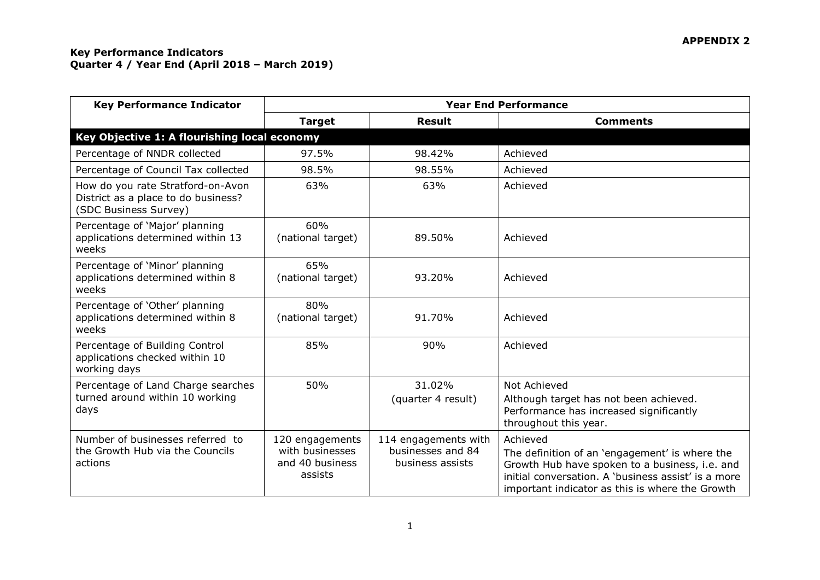| <b>Key Performance Indicator</b>                                                                  | <b>Year End Performance</b>                                      |                                                               |                                                                                                                                                                                                                        |  |
|---------------------------------------------------------------------------------------------------|------------------------------------------------------------------|---------------------------------------------------------------|------------------------------------------------------------------------------------------------------------------------------------------------------------------------------------------------------------------------|--|
|                                                                                                   | <b>Target</b>                                                    | <b>Result</b>                                                 | <b>Comments</b>                                                                                                                                                                                                        |  |
| Key Objective 1: A flourishing local economy                                                      |                                                                  |                                                               |                                                                                                                                                                                                                        |  |
| Percentage of NNDR collected                                                                      | 97.5%                                                            | 98.42%                                                        | Achieved                                                                                                                                                                                                               |  |
| Percentage of Council Tax collected                                                               | 98.5%                                                            | 98.55%                                                        | Achieved                                                                                                                                                                                                               |  |
| How do you rate Stratford-on-Avon<br>District as a place to do business?<br>(SDC Business Survey) | 63%                                                              | 63%                                                           | Achieved                                                                                                                                                                                                               |  |
| Percentage of 'Major' planning<br>applications determined within 13<br>weeks                      | 60%<br>(national target)                                         | 89.50%                                                        | Achieved                                                                                                                                                                                                               |  |
| Percentage of 'Minor' planning<br>applications determined within 8<br>weeks                       | 65%<br>(national target)                                         | 93.20%                                                        | Achieved                                                                                                                                                                                                               |  |
| Percentage of 'Other' planning<br>applications determined within 8<br>weeks                       | 80%<br>(national target)                                         | 91.70%                                                        | Achieved                                                                                                                                                                                                               |  |
| Percentage of Building Control<br>applications checked within 10<br>working days                  | 85%                                                              | 90%                                                           | Achieved                                                                                                                                                                                                               |  |
| Percentage of Land Charge searches                                                                | 50%                                                              | 31.02%                                                        | Not Achieved                                                                                                                                                                                                           |  |
| turned around within 10 working<br>days                                                           |                                                                  | (quarter 4 result)                                            | Although target has not been achieved.<br>Performance has increased significantly<br>throughout this year.                                                                                                             |  |
| Number of businesses referred to<br>the Growth Hub via the Councils<br>actions                    | 120 engagements<br>with businesses<br>and 40 business<br>assists | 114 engagements with<br>businesses and 84<br>business assists | Achieved<br>The definition of an 'engagement' is where the<br>Growth Hub have spoken to a business, i.e. and<br>initial conversation. A 'business assist' is a more<br>important indicator as this is where the Growth |  |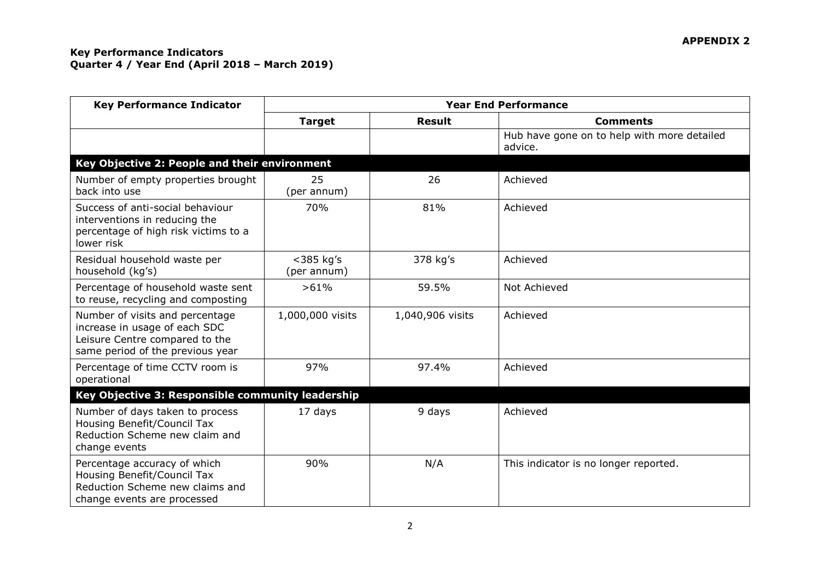| <b>Key Performance Indicator</b>                                                                                                       | <b>Year End Performance</b> |                  |                                                        |  |  |
|----------------------------------------------------------------------------------------------------------------------------------------|-----------------------------|------------------|--------------------------------------------------------|--|--|
|                                                                                                                                        | <b>Target</b>               | <b>Result</b>    | <b>Comments</b>                                        |  |  |
|                                                                                                                                        |                             |                  | Hub have gone on to help with more detailed<br>advice. |  |  |
| Key Objective 2: People and their environment                                                                                          |                             |                  |                                                        |  |  |
| Number of empty properties brought<br>back into use                                                                                    | 25<br>(per annum)           | 26               | Achieved                                               |  |  |
| Success of anti-social behaviour<br>interventions in reducing the<br>percentage of high risk victims to a<br>lower risk                | 70%                         | 81%              | Achieved                                               |  |  |
| Residual household waste per<br>household (kg's)                                                                                       | $<$ 385 kg's<br>(per annum) | 378 kg's         | Achieved                                               |  |  |
| Percentage of household waste sent<br>to reuse, recycling and composting                                                               | >61%                        | 59.5%            | Not Achieved                                           |  |  |
| Number of visits and percentage<br>increase in usage of each SDC<br>Leisure Centre compared to the<br>same period of the previous year | 1,000,000 visits            | 1,040,906 visits | Achieved                                               |  |  |
| Percentage of time CCTV room is<br>operational                                                                                         | 97%                         | 97.4%            | Achieved                                               |  |  |
| Key Objective 3: Responsible community leadership                                                                                      |                             |                  |                                                        |  |  |
| Number of days taken to process<br>Housing Benefit/Council Tax<br>Reduction Scheme new claim and<br>change events                      | 17 days                     | 9 days           | Achieved                                               |  |  |
| Percentage accuracy of which<br>Housing Benefit/Council Tax<br>Reduction Scheme new claims and<br>change events are processed          | 90%                         | N/A              | This indicator is no longer reported.                  |  |  |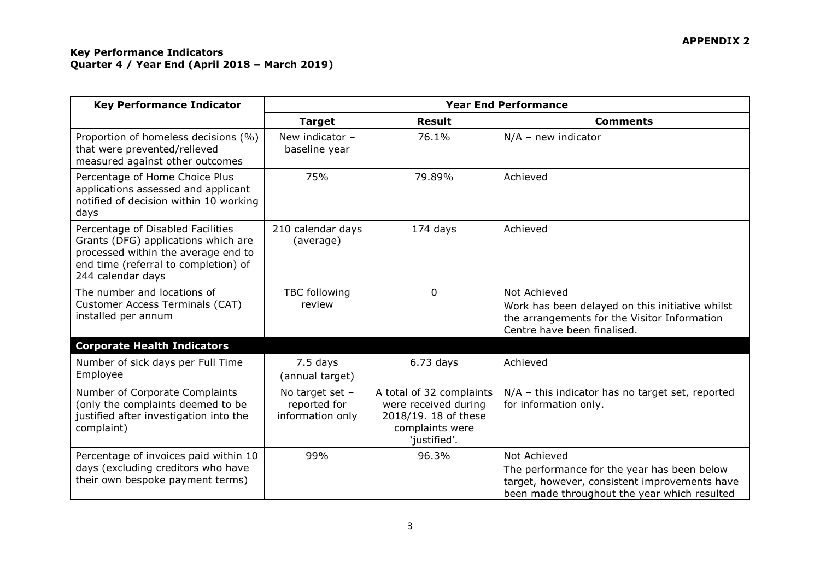# **APPENDIX 2**

| <b>Key Performance Indicator</b>                                                                                                                                             | <b>Year End Performance</b>                         |                                                                                                             |                                                                                                                                                              |
|------------------------------------------------------------------------------------------------------------------------------------------------------------------------------|-----------------------------------------------------|-------------------------------------------------------------------------------------------------------------|--------------------------------------------------------------------------------------------------------------------------------------------------------------|
|                                                                                                                                                                              | <b>Target</b>                                       | <b>Result</b>                                                                                               | <b>Comments</b>                                                                                                                                              |
| Proportion of homeless decisions (%)<br>that were prevented/relieved<br>measured against other outcomes                                                                      | New indicator -<br>baseline year                    | 76.1%                                                                                                       | $N/A$ – new indicator                                                                                                                                        |
| Percentage of Home Choice Plus<br>applications assessed and applicant<br>notified of decision within 10 working<br>days                                                      | 75%                                                 | 79.89%                                                                                                      | Achieved                                                                                                                                                     |
| Percentage of Disabled Facilities<br>Grants (DFG) applications which are<br>processed within the average end to<br>end time (referral to completion) of<br>244 calendar days | 210 calendar days<br>(average)                      | 174 days                                                                                                    | Achieved                                                                                                                                                     |
| The number and locations of<br>Customer Access Terminals (CAT)<br>installed per annum                                                                                        | <b>TBC</b> following<br>review                      | 0                                                                                                           | Not Achieved<br>Work has been delayed on this initiative whilst<br>the arrangements for the Visitor Information<br>Centre have been finalised.               |
| <b>Corporate Health Indicators</b>                                                                                                                                           |                                                     |                                                                                                             |                                                                                                                                                              |
| Number of sick days per Full Time<br>Employee                                                                                                                                | 7.5 days<br>(annual target)                         | $6.73$ days                                                                                                 | Achieved                                                                                                                                                     |
| Number of Corporate Complaints<br>(only the complaints deemed to be<br>justified after investigation into the<br>complaint)                                                  | No target set -<br>reported for<br>information only | A total of 32 complaints<br>were received during<br>2018/19. 18 of these<br>complaints were<br>'justified'. | $N/A$ – this indicator has no target set, reported<br>for information only.                                                                                  |
| Percentage of invoices paid within 10<br>days (excluding creditors who have<br>their own bespoke payment terms)                                                              | 99%                                                 | 96.3%                                                                                                       | Not Achieved<br>The performance for the year has been below<br>target, however, consistent improvements have<br>been made throughout the year which resulted |